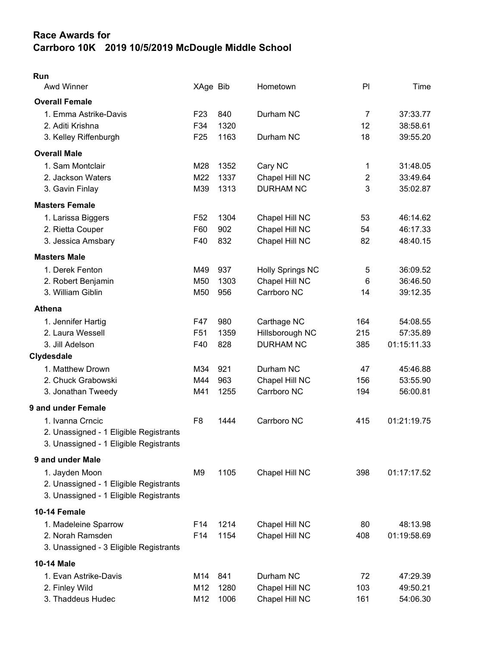## Race Awards for Carrboro 10K 2019 10/5/2019 McDougle Middle School

| × |  |
|---|--|

| Awd Winner                             | XAge Bib        |      | Hometown                | P <sub>1</sub> | Time        |
|----------------------------------------|-----------------|------|-------------------------|----------------|-------------|
| <b>Overall Female</b>                  |                 |      |                         |                |             |
| 1. Emma Astrike-Davis                  | F <sub>23</sub> | 840  | Durham NC               | $\overline{7}$ | 37:33.77    |
| 2. Aditi Krishna                       | F34             | 1320 |                         | 12             | 38:58.61    |
| 3. Kelley Riffenburgh                  | F <sub>25</sub> | 1163 | Durham NC               | 18             | 39:55.20    |
| <b>Overall Male</b>                    |                 |      |                         |                |             |
| 1. Sam Montclair                       | M28             | 1352 | Cary NC                 | 1              | 31:48.05    |
| 2. Jackson Waters                      | M22             | 1337 | Chapel Hill NC          | $\overline{2}$ | 33:49.64    |
| 3. Gavin Finlay                        | M39             | 1313 | <b>DURHAM NC</b>        | 3              | 35:02.87    |
| <b>Masters Female</b>                  |                 |      |                         |                |             |
| 1. Larissa Biggers                     | F <sub>52</sub> | 1304 | Chapel Hill NC          | 53             | 46:14.62    |
| 2. Rietta Couper                       | F60             | 902  | Chapel Hill NC          | 54             | 46:17.33    |
| 3. Jessica Amsbary                     | F40             | 832  | Chapel Hill NC          | 82             | 48:40.15    |
| <b>Masters Male</b>                    |                 |      |                         |                |             |
| 1. Derek Fenton                        | M49             | 937  | <b>Holly Springs NC</b> | 5              | 36:09.52    |
| 2. Robert Benjamin                     | M50             | 1303 | Chapel Hill NC          | 6              | 36:46.50    |
| 3. William Giblin                      | M50             | 956  | Carrboro NC             | 14             | 39:12.35    |
| <b>Athena</b>                          |                 |      |                         |                |             |
| 1. Jennifer Hartig                     | F47             | 980  | Carthage NC             | 164            | 54:08.55    |
| 2. Laura Wessell                       | F <sub>51</sub> | 1359 | Hillsborough NC         | 215            | 57:35.89    |
| 3. Jill Adelson                        | F40             | 828  | <b>DURHAM NC</b>        | 385            | 01:15:11.33 |
| Clydesdale                             |                 |      |                         |                |             |
| 1. Matthew Drown                       | M34             | 921  | Durham NC               | 47             | 45:46.88    |
| 2. Chuck Grabowski                     | M44             | 963  | Chapel Hill NC          | 156            | 53:55.90    |
| 3. Jonathan Tweedy                     | M41             | 1255 | Carrboro NC             | 194            | 56:00.81    |
| 9 and under Female                     |                 |      |                         |                |             |
| 1. Ivanna Crncic                       | F <sub>8</sub>  | 1444 | Carrboro NC             | 415            | 01:21:19.75 |
| 2. Unassigned - 1 Eligible Registrants |                 |      |                         |                |             |
| 3. Unassigned - 1 Eligible Registrants |                 |      |                         |                |             |
| 9 and under Male                       |                 |      |                         |                |             |
| 1. Jayden Moon                         | M9              | 1105 | Chapel Hill NC          | 398            | 01:17:17.52 |
| 2. Unassigned - 1 Eligible Registrants |                 |      |                         |                |             |
| 3. Unassigned - 1 Eligible Registrants |                 |      |                         |                |             |
| 10-14 Female                           |                 |      |                         |                |             |
| 1. Madeleine Sparrow                   | F14             | 1214 | Chapel Hill NC          | 80             | 48:13.98    |
| 2. Norah Ramsden                       | F14             | 1154 | Chapel Hill NC          | 408            | 01:19:58.69 |
| 3. Unassigned - 3 Eligible Registrants |                 |      |                         |                |             |
| 10-14 Male                             |                 |      |                         |                |             |
| 1. Evan Astrike-Davis                  | M14             | 841  | Durham NC               | 72             | 47:29.39    |
| 2. Finley Wild                         | M12             | 1280 | Chapel Hill NC          | 103            | 49:50.21    |
| 3. Thaddeus Hudec                      | M12             | 1006 | Chapel Hill NC          | 161            | 54:06.30    |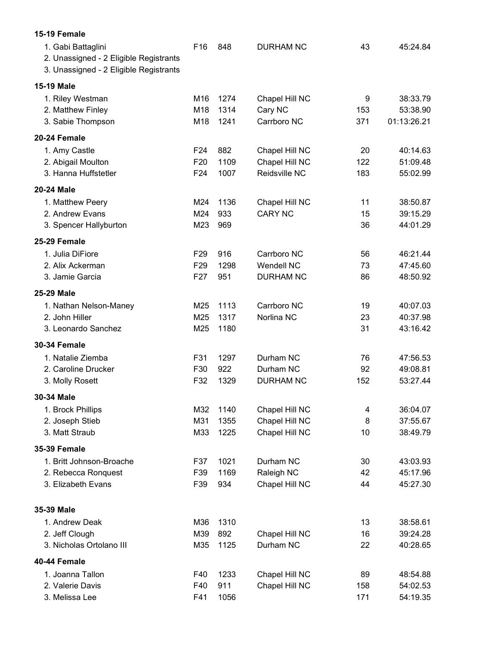| 15-19 Female                                                                                           |                 |      |                   |     |             |
|--------------------------------------------------------------------------------------------------------|-----------------|------|-------------------|-----|-------------|
| 1. Gabi Battaglini<br>2. Unassigned - 2 Eligible Registrants<br>3. Unassigned - 2 Eligible Registrants | F16             | 848  | <b>DURHAM NC</b>  | 43  | 45:24.84    |
| 15-19 Male                                                                                             |                 |      |                   |     |             |
| 1. Riley Westman                                                                                       | M16             | 1274 | Chapel Hill NC    | 9   | 38:33.79    |
| 2. Matthew Finley                                                                                      | M18             | 1314 | Cary NC           | 153 | 53:38.90    |
| 3. Sabie Thompson                                                                                      | M18             | 1241 | Carrboro NC       | 371 | 01:13:26.21 |
| 20-24 Female                                                                                           |                 |      |                   |     |             |
| 1. Amy Castle                                                                                          | F <sub>24</sub> | 882  | Chapel Hill NC    | 20  | 40:14.63    |
| 2. Abigail Moulton                                                                                     | F <sub>20</sub> | 1109 | Chapel Hill NC    | 122 | 51:09.48    |
| 3. Hanna Huffstetler                                                                                   | F24             | 1007 | Reidsville NC     | 183 | 55:02.99    |
| 20-24 Male                                                                                             |                 |      |                   |     |             |
| 1. Matthew Peery                                                                                       | M24             | 1136 | Chapel Hill NC    | 11  | 38:50.87    |
| 2. Andrew Evans                                                                                        | M24             | 933  | <b>CARY NC</b>    | 15  | 39:15.29    |
| 3. Spencer Hallyburton                                                                                 | M23             | 969  |                   | 36  | 44:01.29    |
| 25-29 Female                                                                                           |                 |      |                   |     |             |
| 1. Julia DiFiore                                                                                       | F <sub>29</sub> | 916  | Carrboro NC       | 56  | 46:21.44    |
| 2. Alix Ackerman                                                                                       | F <sub>29</sub> | 1298 | <b>Wendell NC</b> | 73  | 47:45.60    |
| 3. Jamie Garcia                                                                                        | F <sub>27</sub> | 951  | <b>DURHAM NC</b>  | 86  | 48:50.92    |
| 25-29 Male                                                                                             |                 |      |                   |     |             |
| 1. Nathan Nelson-Maney                                                                                 | M25             | 1113 | Carrboro NC       | 19  | 40:07.03    |
| 2. John Hiller                                                                                         | M25             | 1317 | Norlina NC        | 23  | 40:37.98    |
| 3. Leonardo Sanchez                                                                                    | M25             | 1180 |                   | 31  | 43:16.42    |
| 30-34 Female                                                                                           |                 |      |                   |     |             |
| 1. Natalie Ziemba                                                                                      | F31             | 1297 | Durham NC         | 76  | 47:56.53    |
| 2. Caroline Drucker                                                                                    | F30             | 922  | Durham NC         | 92  | 49:08.81    |
| 3. Molly Rosett                                                                                        | F32             | 1329 | <b>DURHAM NC</b>  | 152 | 53:27.44    |
| 30-34 Male                                                                                             |                 |      |                   |     |             |
| 1. Brock Phillips                                                                                      | M32             | 1140 | Chapel Hill NC    | 4   | 36:04.07    |
| 2. Joseph Stieb                                                                                        | M31             | 1355 | Chapel Hill NC    | 8   | 37:55.67    |
| 3. Matt Straub                                                                                         | M33             | 1225 | Chapel Hill NC    | 10  | 38:49.79    |
| 35-39 Female                                                                                           |                 |      |                   |     |             |
| 1. Britt Johnson-Broache                                                                               | F37             | 1021 | Durham NC         | 30  | 43:03.93    |
| 2. Rebecca Ronquest                                                                                    | F39             | 1169 | Raleigh NC        | 42  | 45:17.96    |
| 3. Elizabeth Evans                                                                                     | F39             | 934  | Chapel Hill NC    | 44  | 45:27.30    |
| 35-39 Male                                                                                             |                 |      |                   |     |             |
| 1. Andrew Deak                                                                                         | M36             | 1310 |                   | 13  | 38:58.61    |
| 2. Jeff Clough                                                                                         | M39             | 892  | Chapel Hill NC    | 16  | 39:24.28    |
| 3. Nicholas Ortolano III                                                                               | M35             | 1125 | Durham NC         | 22  | 40:28.65    |
| 40-44 Female                                                                                           |                 |      |                   |     |             |
| 1. Joanna Tallon                                                                                       | F40             | 1233 | Chapel Hill NC    | 89  | 48:54.88    |
| 2. Valerie Davis                                                                                       | F40             | 911  | Chapel Hill NC    | 158 | 54:02.53    |
| 3. Melissa Lee                                                                                         | F41             | 1056 |                   | 171 | 54:19.35    |
|                                                                                                        |                 |      |                   |     |             |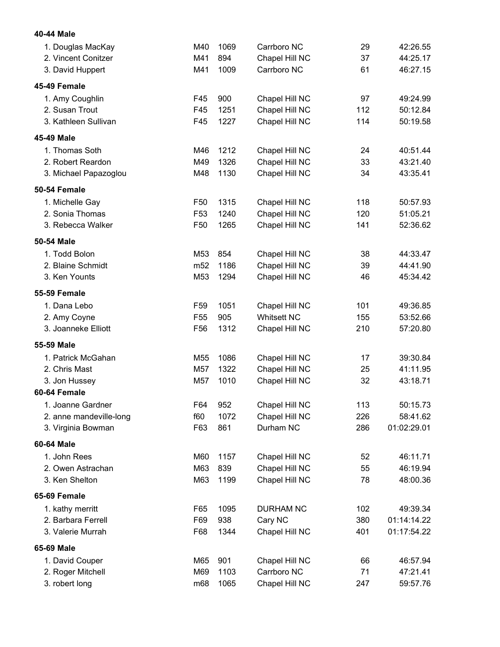| 40-44 Male              |                 |      |                    |     |             |
|-------------------------|-----------------|------|--------------------|-----|-------------|
| 1. Douglas MacKay       | M40             | 1069 | Carrboro NC        | 29  | 42:26.55    |
| 2. Vincent Conitzer     | M41             | 894  | Chapel Hill NC     | 37  | 44:25.17    |
| 3. David Huppert        | M41             | 1009 | Carrboro NC        | 61  | 46:27.15    |
| 45-49 Female            |                 |      |                    |     |             |
| 1. Amy Coughlin         | F45             | 900  | Chapel Hill NC     | 97  | 49:24.99    |
| 2. Susan Trout          | F45             | 1251 | Chapel Hill NC     | 112 | 50:12.84    |
| 3. Kathleen Sullivan    | F45             | 1227 | Chapel Hill NC     | 114 | 50:19.58    |
| 45-49 Male              |                 |      |                    |     |             |
| 1. Thomas Soth          | M46             | 1212 | Chapel Hill NC     | 24  | 40:51.44    |
| 2. Robert Reardon       | M49             | 1326 | Chapel Hill NC     | 33  | 43:21.40    |
| 3. Michael Papazoglou   | M48             | 1130 | Chapel Hill NC     | 34  | 43:35.41    |
| 50-54 Female            |                 |      |                    |     |             |
| 1. Michelle Gay         | F <sub>50</sub> | 1315 | Chapel Hill NC     | 118 | 50:57.93    |
| 2. Sonia Thomas         | F <sub>53</sub> | 1240 | Chapel Hill NC     | 120 | 51:05.21    |
| 3. Rebecca Walker       | F50             | 1265 | Chapel Hill NC     | 141 | 52:36.62    |
| 50-54 Male              |                 |      |                    |     |             |
| 1. Todd Bolon           | M53             | 854  | Chapel Hill NC     | 38  | 44:33.47    |
| 2. Blaine Schmidt       | m <sub>52</sub> | 1186 | Chapel Hill NC     | 39  | 44:41.90    |
| 3. Ken Younts           | M53             | 1294 | Chapel Hill NC     | 46  | 45:34.42    |
| <b>55-59 Female</b>     |                 |      |                    |     |             |
| 1. Dana Lebo            | F59             | 1051 | Chapel Hill NC     | 101 | 49:36.85    |
| 2. Amy Coyne            | F <sub>55</sub> | 905  | <b>Whitsett NC</b> | 155 | 53:52.66    |
| 3. Joanneke Elliott     | F56             | 1312 | Chapel Hill NC     | 210 | 57:20.80    |
| 55-59 Male              |                 |      |                    |     |             |
| 1. Patrick McGahan      | M55             | 1086 | Chapel Hill NC     | 17  | 39:30.84    |
| 2. Chris Mast           | M57             | 1322 | Chapel Hill NC     | 25  | 41:11.95    |
| 3. Jon Hussey           | M57             | 1010 | Chapel Hill NC     | 32  | 43:18.71    |
| 60-64 Female            |                 |      |                    |     |             |
| 1. Joanne Gardner       | F64             | 952  | Chapel Hill NC     | 113 | 50:15.73    |
| 2. anne mandeville-long | f60             | 1072 | Chapel Hill NC     | 226 | 58:41.62    |
| 3. Virginia Bowman      | F63             | 861  | Durham NC          | 286 | 01:02:29.01 |
| 60-64 Male              |                 |      |                    |     |             |
| 1. John Rees            | M60             | 1157 | Chapel Hill NC     | 52  | 46:11.71    |
| 2. Owen Astrachan       | M63             | 839  | Chapel Hill NC     | 55  | 46:19.94    |
| 3. Ken Shelton          | M63             | 1199 | Chapel Hill NC     | 78  | 48:00.36    |
| 65-69 Female            |                 |      |                    |     |             |
| 1. kathy merritt        | F65             | 1095 | <b>DURHAM NC</b>   | 102 | 49:39.34    |
| 2. Barbara Ferrell      | F69             | 938  | Cary NC            | 380 | 01:14:14.22 |
| 3. Valerie Murrah       | F68             | 1344 | Chapel Hill NC     | 401 | 01:17:54.22 |
| 65-69 Male              |                 |      |                    |     |             |
| 1. David Couper         | M65             | 901  | Chapel Hill NC     | 66  | 46:57.94    |
| 2. Roger Mitchell       | M69             | 1103 | Carrboro NC        | 71  | 47:21.41    |
| 3. robert long          | m68             | 1065 | Chapel Hill NC     | 247 | 59:57.76    |